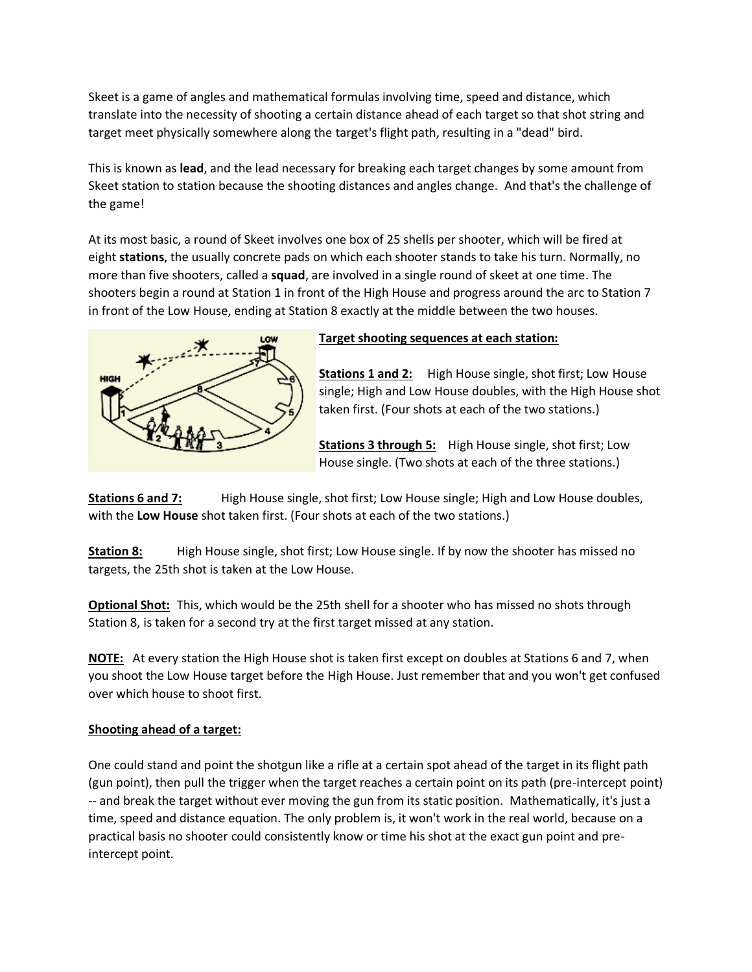Skeet is a game of angles and mathematical formulas involving time, speed and distance, which translate into the necessity of shooting a certain distance ahead of each target so that shot string and target meet physically somewhere along the target's flight path, resulting in a "dead" bird.

This is known as **lead**, and the lead necessary for breaking each target changes by some amount from Skeet station to station because the shooting distances and angles change. And that's the challenge of the game!

At its most basic, a round of Skeet involves one box of 25 shells per shooter, which will be fired at eight **stations**, the usually concrete pads on which each shooter stands to take his turn. Normally, no more than five shooters, called a **squad**, are involved in a single round of skeet at one time. The shooters begin a round at Station 1 in front of the High House and progress around the arc to Station 7 in front of the Low House, ending at Station 8 exactly at the middle between the two houses.



## **Target shooting sequences at each station:**

**Stations 1 and 2:** High House single, shot first; Low House single; High and Low House doubles, with the High House shot taken first. (Four shots at each of the two stations.)

**Stations 3 through 5:** High House single, shot first; Low House single. (Two shots at each of the three stations.)

**Stations 6 and 7:** High House single, shot first; Low House single; High and Low House doubles, with the **Low House** shot taken first. (Four shots at each of the two stations.)

**Station 8:** High House single, shot first; Low House single. If by now the shooter has missed no targets, the 25th shot is taken at the Low House.

**Optional Shot:** This, which would be the 25th shell for a shooter who has missed no shots through Station 8, is taken for a second try at the first target missed at any station.

**NOTE:** At every station the High House shot is taken first except on doubles at Stations 6 and 7, when you shoot the Low House target before the High House. Just remember that and you won't get confused over which house to shoot first.

### **Shooting ahead of a target:**

One could stand and point the shotgun like a rifle at a certain spot ahead of the target in its flight path (gun point), then pull the trigger when the target reaches a certain point on its path (pre-intercept point) -- and break the target without ever moving the gun from its static position. Mathematically, it's just a time, speed and distance equation. The only problem is, it won't work in the real world, because on a practical basis no shooter could consistently know or time his shot at the exact gun point and preintercept point.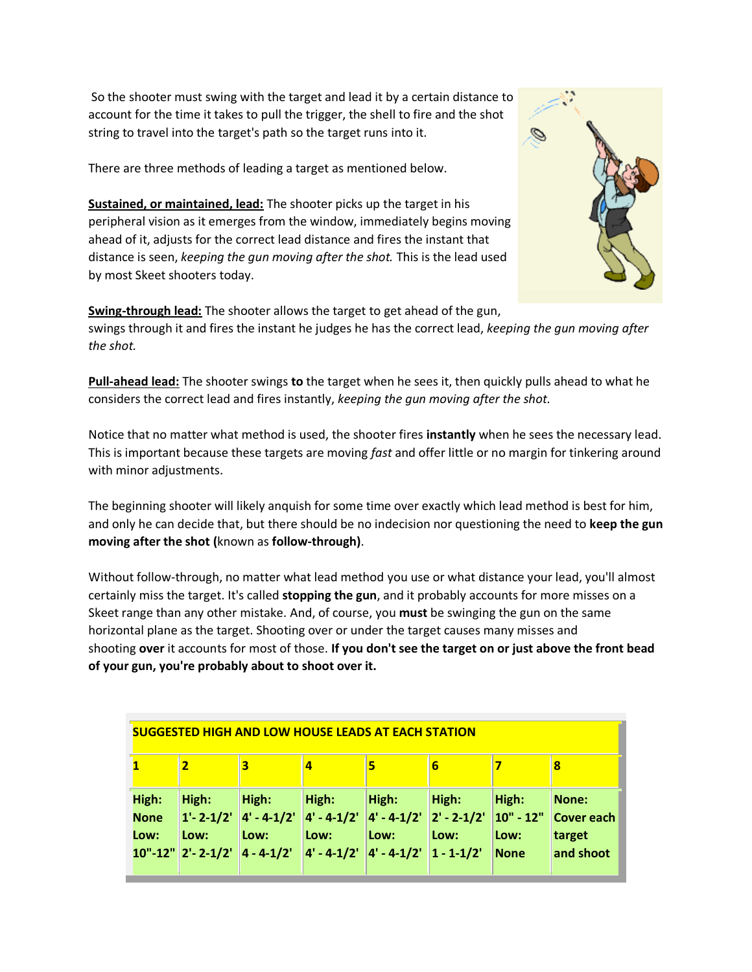So the shooter must swing with the target and lead it by a certain distance to account for the time it takes to pull the trigger, the shell to fire and the shot string to travel into the target's path so the target runs into it.

There are three methods of leading a target as mentioned below.

**Sustained, or maintained, lead:** The shooter picks up the target in his peripheral vision as it emerges from the window, immediately begins moving ahead of it, adjusts for the correct lead distance and fires the instant that distance is seen, *keeping the gun moving after the shot.* This is the lead used by most Skeet shooters today.



**Swing-through lead:** The shooter allows the target to get ahead of the gun, swings through it and fires the instant he judges he has the correct lead, *keeping the gun moving after the shot.*

**Pull-ahead lead:** The shooter swings **to** the target when he sees it, then quickly pulls ahead to what he considers the correct lead and fires instantly, *keeping the gun moving after the shot.*

Notice that no matter what method is used, the shooter fires **instantly** when he sees the necessary lead. This is important because these targets are moving *fast* and offer little or no margin for tinkering around with minor adjustments.

The beginning shooter will likely anquish for some time over exactly which lead method is best for him, and only he can decide that, but there should be no indecision nor questioning the need to **keep the gun moving after the shot (**known as **follow-through)**.

Without follow-through, no matter what lead method you use or what distance your lead, you'll almost certainly miss the target. It's called **stopping the gun**, and it probably accounts for more misses on a Skeet range than any other mistake. And, of course, you **must** be swinging the gun on the same horizontal plane as the target. Shooting over or under the target causes many misses and shooting **over** it accounts for most of those. **If you don't see the target on or just above the front bead of your gun, you're probably about to shoot over it.**

| <b>SUGGESTED HIGH AND LOW HOUSE LEADS AT EACH STATION</b> |                                                             |                                                       |                                                                                                      |               |               |                                              |                                                   |
|-----------------------------------------------------------|-------------------------------------------------------------|-------------------------------------------------------|------------------------------------------------------------------------------------------------------|---------------|---------------|----------------------------------------------|---------------------------------------------------|
|                                                           | 2                                                           | 3                                                     | 4                                                                                                    | 5             | 6             |                                              | 8                                                 |
| High:<br><b>None</b><br>Low:                              | High:<br>$1' - 2 - 1/2'$<br>Low:<br>$10" - 12"$ 2' - 2-1/2' | High:<br>$ 4' - 4 - 1/2' $<br>Low:<br>$ 4 - 4 - 1/2 $ | High:<br>$ 4'-4-1/2'  4'-4-1/2'  2'-2-1/2'$<br>Low:<br>$ 4' - 4 - 1/2'  4' - 4 - 1/2'  1 - 1 - 1/2'$ | High:<br>Low: | High:<br>Low: | High:<br>$ 10" - 12"$<br>Low:<br><b>None</b> | None:<br><b>Cover each</b><br>target<br>and shoot |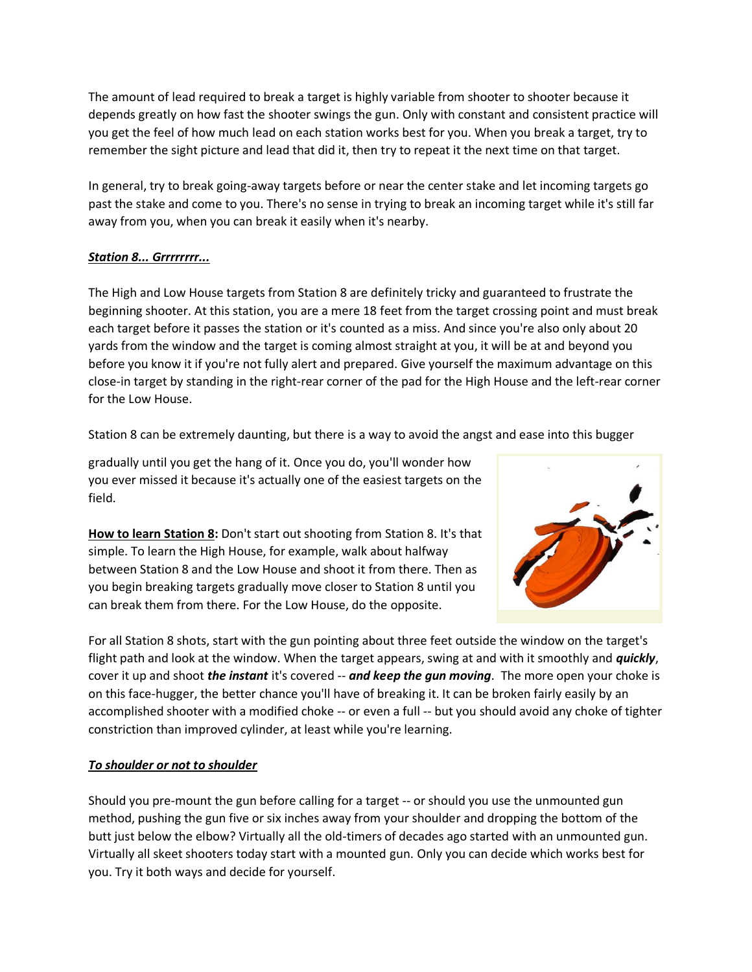The amount of lead required to break a target is highly variable from shooter to shooter because it depends greatly on how fast the shooter swings the gun. Only with constant and consistent practice will you get the feel of how much lead on each station works best for you. When you break a target, try to remember the sight picture and lead that did it, then try to repeat it the next time on that target.

In general, try to break going-away targets before or near the center stake and let incoming targets go past the stake and come to you. There's no sense in trying to break an incoming target while it's still far away from you, when you can break it easily when it's nearby.

## *Station 8... Grrrrrrrr...*

The High and Low House targets from Station 8 are definitely tricky and guaranteed to frustrate the beginning shooter. At this station, you are a mere 18 feet from the target crossing point and must break each target before it passes the station or it's counted as a miss. And since you're also only about 20 yards from the window and the target is coming almost straight at you, it will be at and beyond you before you know it if you're not fully alert and prepared. Give yourself the maximum advantage on this close-in target by standing in the right-rear corner of the pad for the High House and the left-rear corner for the Low House.

Station 8 can be extremely daunting, but there is a way to avoid the angst and ease into this bugger

gradually until you get the hang of it. Once you do, you'll wonder how you ever missed it because it's actually one of the easiest targets on the field.

**How to learn Station 8:** Don't start out shooting from Station 8. It's that simple. To learn the High House, for example, walk about halfway between Station 8 and the Low House and shoot it from there. Then as you begin breaking targets gradually move closer to Station 8 until you can break them from there. For the Low House, do the opposite.



For all Station 8 shots, start with the gun pointing about three feet outside the window on the target's flight path and look at the window. When the target appears, swing at and with it smoothly and *quickly*, cover it up and shoot *the instant* it's covered -- *and keep the gun moving*. The more open your choke is on this face-hugger, the better chance you'll have of breaking it. It can be broken fairly easily by an accomplished shooter with a modified choke -- or even a full -- but you should avoid any choke of tighter constriction than improved cylinder, at least while you're learning.

## *To shoulder or not to shoulder*

Should you pre-mount the gun before calling for a target -- or should you use the unmounted gun method, pushing the gun five or six inches away from your shoulder and dropping the bottom of the butt just below the elbow? Virtually all the old-timers of decades ago started with an unmounted gun. Virtually all skeet shooters today start with a mounted gun. Only you can decide which works best for you. Try it both ways and decide for yourself.